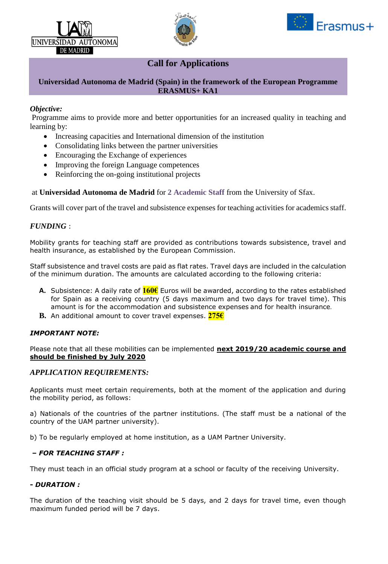





# **Call for Applications**

## **Universidad Autonoma de Madrid (Spain) in the framework of the European Programme ERASMUS+ KA1**

## *Objective:*

Programme aims to provide more and better opportunities for an increased quality in teaching and learning by:

- Increasing capacities and International dimension of the institution
- Consolidating links between the partner universities
- Encouraging the Exchange of experiences
- Improving the foreign Language competences
- Reinforcing the on-going institutional projects

#### at **Universidad Autonoma de Madrid** for **2 Academic Staff** from the University of Sfax.

Grants will cover part of the travel and subsistence expenses for teaching activities for academics staff.

#### *FUNDING* :

Mobility grants for teaching staff are provided as contributions towards subsistence, travel and health insurance, as established by the European Commission.

Staff subsistence and travel costs are paid as flat rates. Travel days are included in the calculation of the minimum duration. The amounts are calculated according to the following criteria:

- **A.** Subsistence: A daily rate of **160€** Euros will be awarded, according to the rates established for Spain as a receiving country (5 days maximum and two days for travel time). This amount is for the accommodation and subsistence expenses and for health insurance.
- **B.** An additional amount to cover travel expenses. **275€**

#### *IMPORTANT NOTE:*

Please note that all these mobilities can be implemented **next 2019/20 academic course and should be finished by July 2020**

## *APPLICATION REQUIREMENTS:*

Applicants must meet certain requirements, both at the moment of the application and during the mobility period, as follows:

a) Nationals of the countries of the partner institutions. (The staff must be a national of the country of the UAM partner university).

b) To be regularly employed at home institution, as a UAM Partner University.

#### **–** *FOR TEACHING STAFF :*

They must teach in an official study program at a school or faculty of the receiving University.

#### **-** *DURATION :*

The duration of the teaching visit should be 5 days, and 2 days for travel time, even though maximum funded period will be 7 days.